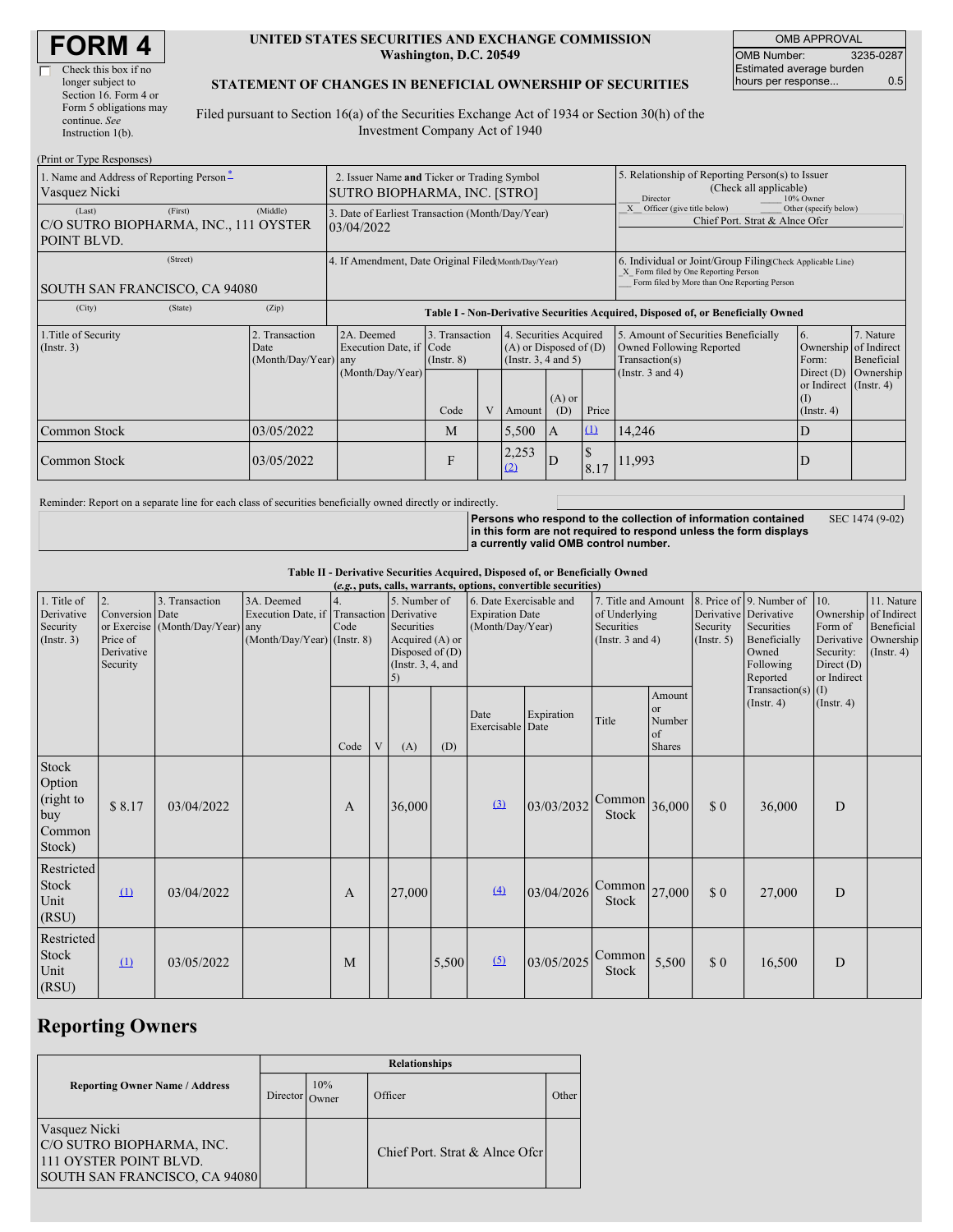| <b>FORM4</b> |  |
|--------------|--|
|--------------|--|

| Check this box if no   |
|------------------------|
| longer subject to      |
| Section 16. Form 4 or  |
| Form 5 obligations may |
| continue. See          |
| Instruction 1(b).      |

#### **UNITED STATES SECURITIES AND EXCHANGE COMMISSION Washington, D.C. 20549**

OMB APPROVAL OMB Number: 3235-0287 Estimated average burden hours per response... 0.5

#### **STATEMENT OF CHANGES IN BENEFICIAL OWNERSHIP OF SECURITIES**

Filed pursuant to Section 16(a) of the Securities Exchange Act of 1934 or Section 30(h) of the Investment Company Act of 1940

| (Print or Type Responses)                                                 |                                                |                                                                                  |                                   |  |                                                                              |                 |                                                                                                                                                    |                                                                                                             |                                                      |                                      |
|---------------------------------------------------------------------------|------------------------------------------------|----------------------------------------------------------------------------------|-----------------------------------|--|------------------------------------------------------------------------------|-----------------|----------------------------------------------------------------------------------------------------------------------------------------------------|-------------------------------------------------------------------------------------------------------------|------------------------------------------------------|--------------------------------------|
| 1. Name and Address of Reporting Person-<br>Vasquez Nicki                 |                                                | 2. Issuer Name and Ticker or Trading Symbol<br>SUTRO BIOPHARMA, INC. [STRO]      |                                   |  |                                                                              |                 | 5. Relationship of Reporting Person(s) to Issuer<br>(Check all applicable)<br>10% Owner<br>Director                                                |                                                                                                             |                                                      |                                      |
| (First)<br>(Last)<br>C/O SUTRO BIOPHARMA, INC., 111 OYSTER<br>POINT BLVD. | (Middle)                                       | 3. Date of Earliest Transaction (Month/Day/Year)<br>03/04/2022                   |                                   |  |                                                                              |                 |                                                                                                                                                    | Officer (give title below)<br>Other (specify below)<br>Chief Port. Strat & Alnce Ofcr                       |                                                      |                                      |
| (Street)<br>SOUTH SAN FRANCISCO, CA 94080                                 |                                                | 4. If Amendment, Date Original Filed Month/Day/Year)                             |                                   |  |                                                                              |                 | 6. Individual or Joint/Group Filing Check Applicable Line)<br>X Form filed by One Reporting Person<br>Form filed by More than One Reporting Person |                                                                                                             |                                                      |                                      |
| (City)<br>(State)                                                         | (Zip)                                          | Table I - Non-Derivative Securities Acquired, Disposed of, or Beneficially Owned |                                   |  |                                                                              |                 |                                                                                                                                                    |                                                                                                             |                                                      |                                      |
| 1. Title of Security<br>(Insert. 3)                                       | 2. Transaction<br>Date<br>(Month/Day/Year) any | 2A. Deemed<br>Execution Date, if Code<br>(Month/Day/Year)                        | 3. Transaction<br>$($ Instr. $8)$ |  | 4. Securities Acquired<br>$(A)$ or Disposed of $(D)$<br>(Insert. 3, 4 and 5) |                 |                                                                                                                                                    | 5. Amount of Securities Beneficially<br>Owned Following Reported<br>Transaction(s)<br>(Instr. $3$ and $4$ ) | 6.<br>Ownership of Indirect<br>Form:<br>Direct $(D)$ | 7. Nature<br>Beneficial<br>Ownership |
|                                                                           |                                                |                                                                                  | Code                              |  | Amount                                                                       | $(A)$ or<br>(D) | Price                                                                                                                                              |                                                                                                             | or Indirect (Instr. 4)<br>(1)<br>(Insert. 4)         |                                      |
| Common Stock                                                              | 03/05/2022                                     |                                                                                  | M                                 |  | 5,500                                                                        | IA              | $\Omega$                                                                                                                                           | 14,246                                                                                                      | D                                                    |                                      |
| Common Stock<br>03/05/2022                                                |                                                |                                                                                  | F                                 |  | 2,253<br>(2)                                                                 | D               | 8.17                                                                                                                                               | 11,993                                                                                                      |                                                      |                                      |

Reminder: Report on a separate line for each class of securities beneficially owned directly or indirectly.

**Persons who respond to the collection of information contained in this form are not required to respond unless the form displays a currently valid OMB control number.** SEC 1474 (9-02)

**Table II - Derivative Securities Acquired, Disposed of, or Beneficially Owned**

| (e.g., puts, calls, warrants, options, convertible securities) |                                                             |                                                |                                                                                               |      |   |                                                                                                                                                                           |       |                                                                             |            |                                                   |                                                                                                                   |                                                                                     |                                                                      |                  |  |
|----------------------------------------------------------------|-------------------------------------------------------------|------------------------------------------------|-----------------------------------------------------------------------------------------------|------|---|---------------------------------------------------------------------------------------------------------------------------------------------------------------------------|-------|-----------------------------------------------------------------------------|------------|---------------------------------------------------|-------------------------------------------------------------------------------------------------------------------|-------------------------------------------------------------------------------------|----------------------------------------------------------------------|------------------|--|
| 1. Title of<br>Derivative<br>Security<br>(Insert. 3)           | 2.<br>Conversion Date<br>Price of<br>Derivative<br>Security | 3. Transaction<br>or Exercise (Month/Day/Year) | 3A. Deemed<br>Execution Date, if Transaction Derivative<br>any<br>(Month/Day/Year) (Instr. 8) | Code |   | 6. Date Exercisable and<br>5. Number of<br><b>Expiration Date</b><br>Securities<br>(Month/Day/Year)<br>Acquired (A) or<br>Disposed of $(D)$<br>(Instr. $3, 4$ , and<br>5) |       | 7. Title and Amount<br>of Underlying<br>Securities<br>(Instr. $3$ and $4$ ) |            | Security<br>$($ Instr. 5 $)$                      | 8. Price of 9. Number of<br>Derivative Derivative<br>Securities<br>Beneficially<br>Owned<br>Following<br>Reported | 10.<br>Ownership of Indirect<br>Form of<br>Security:<br>Direct $(D)$<br>or Indirect | 11. Nature<br>Beneficial<br>Derivative Ownership<br>$($ Instr. 4 $)$ |                  |  |
|                                                                |                                                             |                                                |                                                                                               | Code | V | (A)                                                                                                                                                                       | (D)   | Date<br>Exercisable Date                                                    | Expiration | Title                                             | Amount<br><b>or</b><br>Number<br>of<br><b>Shares</b>                                                              |                                                                                     | Transaction(s) $(I)$<br>$($ Instr. 4 $)$                             | $($ Instr. 4 $)$ |  |
| Stock<br>Option<br>(right to<br>buy<br>Common<br>Stock)        | \$8.17                                                      | 03/04/2022                                     |                                                                                               | A    |   | 36,000                                                                                                                                                                    |       | $\left(3\right)$                                                            | 03/03/2032 | $\text{Common}$ 36,000<br>Stock                   |                                                                                                                   | \$0                                                                                 | 36,000                                                               | D                |  |
| Restricted<br>Stock<br>Unit<br>(RSU)                           | $\Omega$                                                    | 03/04/2022                                     |                                                                                               | A    |   | 27,000                                                                                                                                                                    |       | $\Delta$                                                                    | 03/04/2026 | $\lfloor$ Common $\rfloor$ 27,000<br><b>Stock</b> |                                                                                                                   | \$0                                                                                 | 27,000                                                               | D                |  |
| Restricted<br>Stock<br>Unit<br>(RSU)                           | $\Omega$                                                    | 03/05/2022                                     |                                                                                               | M    |   |                                                                                                                                                                           | 5,500 | (5)                                                                         | 03/05/2025 | Common<br>Stock                                   | 5,500                                                                                                             | \$0                                                                                 | 16,500                                                               | D                |  |

## **Reporting Owners**

|                                                                                                       | <b>Relationships</b> |              |                                |       |  |  |  |  |
|-------------------------------------------------------------------------------------------------------|----------------------|--------------|--------------------------------|-------|--|--|--|--|
| <b>Reporting Owner Name / Address</b>                                                                 | <b>Director</b>      | 10%<br>)wner | Officer                        | Other |  |  |  |  |
| Vasquez Nicki<br>C/O SUTRO BIOPHARMA, INC.<br>111 OYSTER POINT BLVD.<br>SOUTH SAN FRANCISCO, CA 94080 |                      |              | Chief Port. Strat & Alnce Ofcr |       |  |  |  |  |